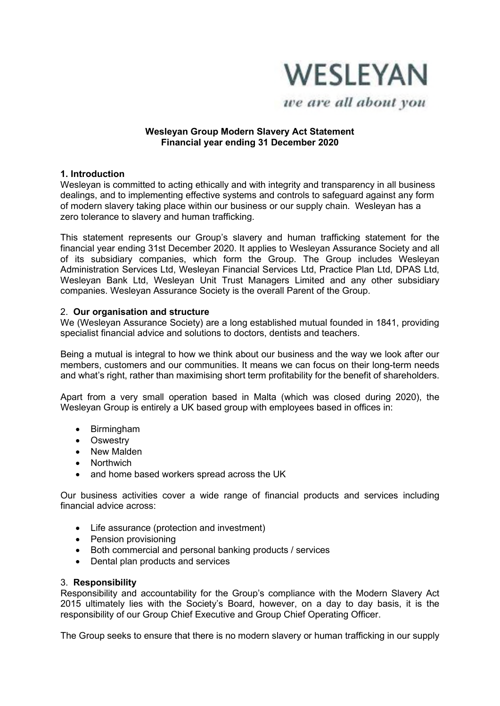

we are all about you

### **Wesleyan Group Modern Slavery Act Statement Financial year ending 31 December 2020**

### **1. Introduction**

Wesleyan is committed to acting ethically and with integrity and transparency in all business dealings, and to implementing effective systems and controls to safeguard against any form of modern slavery taking place within our business or our supply chain. Wesleyan has a zero tolerance to slavery and human trafficking.

This statement represents our Group's slavery and human trafficking statement for the financial year ending 31st December 2020. It applies to Wesleyan Assurance Society and all of its subsidiary companies, which form the Group. The Group includes Wesleyan Administration Services Ltd, Wesleyan Financial Services Ltd, Practice Plan Ltd, DPAS Ltd, Wesleyan Bank Ltd, Wesleyan Unit Trust Managers Limited and any other subsidiary companies. Wesleyan Assurance Society is the overall Parent of the Group.

### 2. **Our organisation and structure**

We (Wesleyan Assurance Society) are a long established mutual founded in 1841, providing specialist financial advice and solutions to doctors, dentists and teachers.

Being a mutual is integral to how we think about our business and the way we look after our members, customers and our communities. It means we can focus on their long-term needs and what's right, rather than maximising short term profitability for the benefit of shareholders.

Apart from a very small operation based in Malta (which was closed during 2020), the Wesleyan Group is entirely a UK based group with employees based in offices in:

- Birmingham
- Oswestry
- New Malden
- Northwich
- and home based workers spread across the UK

Our business activities cover a wide range of financial products and services including financial advice across:

- Life assurance (protection and investment)
- Pension provisioning
- Both commercial and personal banking products / services
- Dental plan products and services

#### 3. **Responsibility**

Responsibility and accountability for the Group's compliance with the Modern Slavery Act 2015 ultimately lies with the Society's Board, however, on a day to day basis, it is the responsibility of our Group Chief Executive and Group Chief Operating Officer.

The Group seeks to ensure that there is no modern slavery or human trafficking in our supply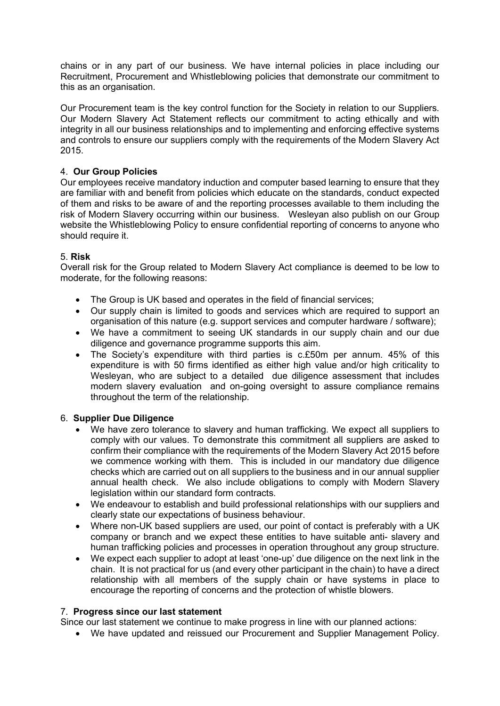chains or in any part of our business. We have internal policies in place including our Recruitment, Procurement and Whistleblowing policies that demonstrate our commitment to this as an organisation.

Our Procurement team is the key control function for the Society in relation to our Suppliers. Our Modern Slavery Act Statement reflects our commitment to acting ethically and with integrity in all our business relationships and to implementing and enforcing effective systems and controls to ensure our suppliers comply with the requirements of the Modern Slavery Act 2015.

# 4. **Our Group Policies**

Our employees receive mandatory induction and computer based learning to ensure that they are familiar with and benefit from policies which educate on the standards, conduct expected of them and risks to be aware of and the reporting processes available to them including the risk of Modern Slavery occurring within our business. Wesleyan also publish on our Group website the Whistleblowing Policy to ensure confidential reporting of concerns to anyone who should require it.

# 5. **Risk**

Overall risk for the Group related to Modern Slavery Act compliance is deemed to be low to moderate, for the following reasons:

- The Group is UK based and operates in the field of financial services;
- Our supply chain is limited to goods and services which are required to support an organisation of this nature (e.g. support services and computer hardware / software);
- We have a commitment to seeing UK standards in our supply chain and our due diligence and governance programme supports this aim.
- The Society's expenditure with third parties is c.£50m per annum. 45% of this expenditure is with 50 firms identified as either high value and/or high criticality to Wesleyan, who are subject to a detailed due diligence assessment that includes modern slavery evaluation and on-going oversight to assure compliance remains throughout the term of the relationship.

## 6. **Supplier Due Diligence**

- We have zero tolerance to slavery and human trafficking. We expect all suppliers to comply with our values. To demonstrate this commitment all suppliers are asked to confirm their compliance with the requirements of the Modern Slavery Act 2015 before we commence working with them. This is included in our mandatory due diligence checks which are carried out on all suppliers to the business and in our annual supplier annual health check. We also include obligations to comply with Modern Slavery legislation within our standard form contracts.
- We endeavour to establish and build professional relationships with our suppliers and clearly state our expectations of business behaviour.
- Where non-UK based suppliers are used, our point of contact is preferably with a UK company or branch and we expect these entities to have suitable anti- slavery and human trafficking policies and processes in operation throughout any group structure.
- We expect each supplier to adopt at least 'one-up' due diligence on the next link in the chain. It is not practical for us (and every other participant in the chain) to have a direct relationship with all members of the supply chain or have systems in place to encourage the reporting of concerns and the protection of whistle blowers.

## 7. **Progress since our last statement**

Since our last statement we continue to make progress in line with our planned actions:

• We have updated and reissued our Procurement and Supplier Management Policy.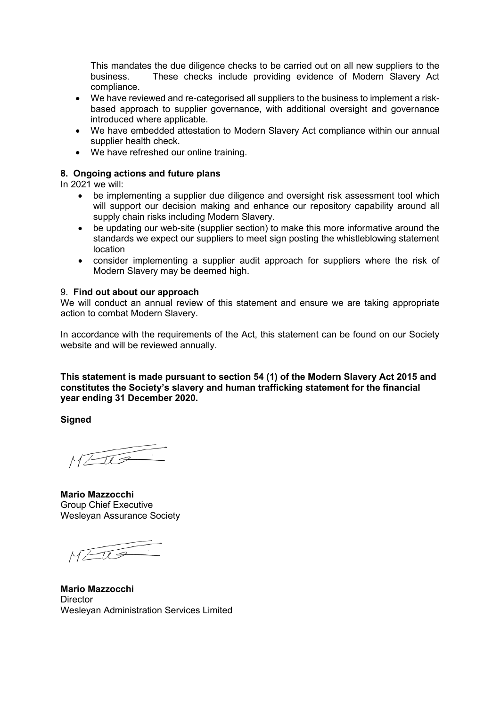This mandates the due diligence checks to be carried out on all new suppliers to the business. These checks include providing evidence of Modern Slavery Act compliance.

- We have reviewed and re-categorised all suppliers to the business to implement a riskbased approach to supplier governance, with additional oversight and governance introduced where applicable.
- We have embedded attestation to Modern Slavery Act compliance within our annual supplier health check.
- We have refreshed our online training.

### **8. Ongoing actions and future plans**

In 2021 we will:

- be implementing a supplier due diligence and oversight risk assessment tool which will support our decision making and enhance our repository capability around all supply chain risks including Modern Slavery.
- be updating our web-site (supplier section) to make this more informative around the standards we expect our suppliers to meet sign posting the whistleblowing statement location
- consider implementing a supplier audit approach for suppliers where the risk of Modern Slavery may be deemed high.

#### 9. **Find out about our approach**

We will conduct an annual review of this statement and ensure we are taking appropriate action to combat Modern Slavery.

In accordance with the requirements of the Act, this statement can be found on our Society website and will be reviewed annually.

**This statement is made pursuant to section 54 (1) of the Modern Slavery Act 2015 and constitutes the Society's slavery and human trafficking statement for the financial year ending 31 December 2020.**

**Signed**

 $MZU3$ 

**Mario Mazzocchi** Group Chief Executive Wesleyan Assurance Society

 $MZtQ$ 

**Mario Mazzocchi Director** Wesleyan Administration Services Limited